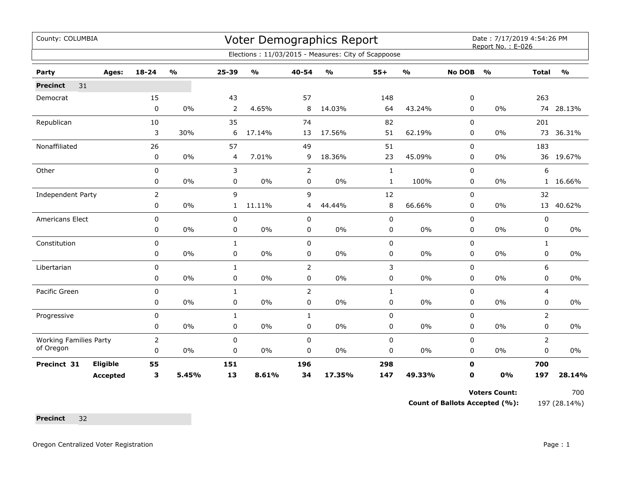| County: COLUMBIA              |          |                |                         | <b>Voter Demographics Report</b> |                                   |                |                                                     |              |                                   |                | Date: 7/17/2019 4:54:26 PM<br>Report No.: E-026 |                |               |  |
|-------------------------------|----------|----------------|-------------------------|----------------------------------|-----------------------------------|----------------|-----------------------------------------------------|--------------|-----------------------------------|----------------|-------------------------------------------------|----------------|---------------|--|
|                               |          |                |                         |                                  |                                   |                | Elections: 11/03/2015 - Measures: City of Scappoose |              |                                   |                |                                                 |                |               |  |
| Party                         | Ages:    | 18-24          | $\mathbf{O}/\mathbf{o}$ | $25 - 39$                        | $\mathsf{o}\mathsf{v}_\mathsf{o}$ | 40-54          | $\mathsf{o}\mathsf{v}_\mathsf{o}$                   | $55+$        | $\mathsf{o}\mathsf{v}_\mathsf{o}$ | <b>No DOB</b>  | $\frac{1}{2}$                                   | <b>Total</b>   | $\frac{1}{2}$ |  |
| 31<br><b>Precinct</b>         |          |                |                         |                                  |                                   |                |                                                     |              |                                   |                |                                                 |                |               |  |
| Democrat                      |          | 15             |                         | 43                               |                                   | 57             |                                                     | 148          |                                   | 0              |                                                 | 263            |               |  |
|                               |          | $\mathbf 0$    | $0\%$                   | $\overline{2}$                   | 4.65%                             | 8              | 14.03%                                              | 64           | 43.24%                            | 0              | $0\%$                                           | 74             | 28.13%        |  |
| Republican                    |          | 10             |                         | 35                               |                                   | 74             |                                                     | 82           |                                   | 0              |                                                 | 201            |               |  |
|                               |          | 3              | 30%                     | 6                                | 17.14%                            | 13             | 17.56%                                              | 51           | 62.19%                            | 0              | $0\%$                                           |                | 73 36.31%     |  |
| Nonaffiliated                 |          | 26             |                         | 57                               |                                   | 49             |                                                     | 51           |                                   | $\overline{0}$ |                                                 | 183            |               |  |
|                               |          | 0              | $0\%$                   | 4                                | 7.01%                             | 9              | 18.36%                                              | 23           | 45.09%                            | 0              | 0%                                              |                | 36 19.67%     |  |
| Other                         |          | $\mathbf 0$    |                         | 3                                |                                   | $\overline{2}$ |                                                     | $\mathbf{1}$ |                                   | 0              |                                                 | 6              |               |  |
|                               |          | 0              | $0\%$                   | 0                                | $0\%$                             | $\mathbf 0$    | $0\%$                                               | $\mathbf{1}$ | 100%                              | 0              | $0\%$                                           | $\mathbf{1}$   | 16.66%        |  |
| Independent Party             |          | $\overline{2}$ |                         | 9                                |                                   | 9              |                                                     | 12           |                                   | 0              |                                                 | 32             |               |  |
|                               |          | 0              | $0\%$                   | $\mathbf{1}$                     | 11.11%                            | 4              | 44.44%                                              | $\,8\,$      | 66.66%                            | 0              | 0%                                              |                | 13 40.62%     |  |
| Americans Elect               |          | $\pmb{0}$      |                         | 0                                |                                   | $\pmb{0}$      |                                                     | $\mathbf 0$  |                                   | 0              |                                                 | 0              |               |  |
|                               |          | 0              | $0\%$                   | 0                                | $0\%$                             | 0              | 0%                                                  | 0            | $0\%$                             | 0              | $0\%$                                           | 0              | 0%            |  |
| Constitution                  |          | 0              |                         | $\mathbf{1}$                     |                                   | $\mathbf 0$    |                                                     | $\mathbf 0$  |                                   | 0              |                                                 | $\mathbf{1}$   |               |  |
|                               |          | 0              | 0%                      | 0                                | 0%                                | 0              | 0%                                                  | 0            | 0%                                | 0              | 0%                                              | 0              | 0%            |  |
| Libertarian                   |          | $\mathbf 0$    |                         | $\mathbf{1}$                     |                                   | 2              |                                                     | 3            |                                   | 0              |                                                 | 6              |               |  |
|                               |          | $\mathbf 0$    | 0%                      | 0                                | 0%                                | $\mathbf 0$    | 0%                                                  | 0            | 0%                                | 0              | 0%                                              | 0              | $0\%$         |  |
| Pacific Green                 |          | $\mathbf 0$    |                         | $\mathbf{1}$                     |                                   | $\overline{2}$ |                                                     | $\mathbf{1}$ |                                   | 0              |                                                 | $\overline{4}$ |               |  |
|                               |          | $\mathbf 0$    | $0\%$                   | 0                                | $0\%$                             | $\pmb{0}$      | $0\%$                                               | $\pmb{0}$    | 0%                                | 0              | 0%                                              | 0              | 0%            |  |
| Progressive                   |          | $\mathbf 0$    |                         | $\mathbf{1}$                     |                                   | $\mathbf{1}$   |                                                     | $\mathbf 0$  |                                   | 0              |                                                 | $\overline{2}$ |               |  |
|                               |          | 0              | $0\%$                   | 0                                | $0\%$                             | 0              | 0%                                                  | $\pmb{0}$    | 0%                                | 0              | $0\%$                                           | 0              | 0%            |  |
| <b>Working Families Party</b> |          | $\overline{2}$ |                         | 0                                |                                   | $\mathbf 0$    |                                                     | $\mathbf 0$  |                                   | 0              |                                                 | $\overline{2}$ |               |  |
| of Oregon                     |          | 0              | 0%                      | 0                                | $0\%$                             | 0              | 0%                                                  | 0            | 0%                                | 0              | $0\%$                                           | 0              | 0%            |  |
| Precinct 31                   | Eligible | 55             |                         | 151                              |                                   | 196            |                                                     | 298          |                                   | $\mathbf{0}$   |                                                 | 700            |               |  |
|                               | Accepted | 3              | 5.45%                   | 13                               | 8.61%                             | 34             | 17.35%                                              | 147          | 49.33%                            | 0              | 0%                                              | 197            | 28.14%        |  |

Voters Count: 700

**Count of Ballots Accepted (%):** 197 (28.14%)

**Precinct** 32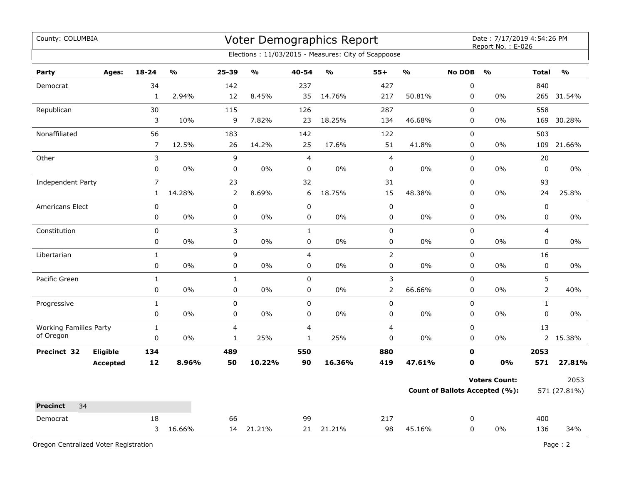| County: COLUMBIA              | Voter Demographics Report<br>Elections: 11/03/2015 - Measures: City of Scappoose |                |               |                         |                         |                |                                   | Date: 7/17/2019 4:54:26 PM<br>Report No.: E-026 |                                   |                                |                      |                |               |
|-------------------------------|----------------------------------------------------------------------------------|----------------|---------------|-------------------------|-------------------------|----------------|-----------------------------------|-------------------------------------------------|-----------------------------------|--------------------------------|----------------------|----------------|---------------|
|                               |                                                                                  |                |               |                         |                         |                |                                   |                                                 |                                   |                                |                      |                |               |
| Party                         | Ages:                                                                            | $18 - 24$      | $\frac{0}{0}$ | 25-39                   | $\mathbf{0}/\mathbf{0}$ | 40-54          | $\mathsf{o}\mathsf{v}_\mathsf{o}$ | $55+$                                           | $\mathsf{o}\mathsf{v}_\mathsf{o}$ | <b>No DOB</b>                  | $\frac{1}{2}$        | <b>Total</b>   | $\frac{1}{2}$ |
| Democrat                      |                                                                                  | 34             |               | 142                     |                         | 237            |                                   | 427                                             |                                   | $\mathbf 0$                    |                      | 840            |               |
|                               |                                                                                  | 1              | 2.94%         | 12                      | 8.45%                   | 35             | 14.76%                            | 217                                             | 50.81%                            | 0                              | $0\%$                |                | 265 31.54%    |
| Republican                    |                                                                                  | 30             |               | 115                     |                         | 126            |                                   | 287                                             |                                   | $\mathbf 0$                    |                      | 558            |               |
|                               |                                                                                  | 3              | 10%           | 9                       | 7.82%                   | 23             | 18.25%                            | 134                                             | 46.68%                            | $\mathbf 0$                    | 0%                   | 169            | 30.28%        |
| Nonaffiliated                 |                                                                                  | 56             |               | 183                     |                         | 142            |                                   | 122                                             |                                   | 0                              |                      | 503            |               |
|                               |                                                                                  | $\overline{7}$ | 12.5%         | 26                      | 14.2%                   | 25             | 17.6%                             | 51                                              | 41.8%                             | 0                              | 0%                   | 109            | 21.66%        |
| Other                         |                                                                                  | 3              |               | 9                       |                         | $\overline{4}$ |                                   | $\overline{4}$                                  |                                   | 0                              |                      | 20             |               |
|                               |                                                                                  | $\mathsf 0$    | 0%            | $\pmb{0}$               | 0%                      | 0              | 0%                                | $\pmb{0}$                                       | 0%                                | 0                              | 0%                   | 0              | 0%            |
| <b>Independent Party</b>      |                                                                                  | $\overline{7}$ |               | 23                      |                         | 32             |                                   | 31                                              |                                   | 0                              |                      | 93             |               |
|                               |                                                                                  | $\mathbf{1}$   | 14.28%        | $\overline{2}$          | 8.69%                   | 6              | 18.75%                            | 15                                              | 48.38%                            | 0                              | $0\%$                | 24             | 25.8%         |
| <b>Americans Elect</b>        |                                                                                  | 0              |               | $\pmb{0}$               |                         | $\pmb{0}$      |                                   | $\pmb{0}$                                       |                                   | $\mathbf 0$                    |                      | $\pmb{0}$      |               |
|                               |                                                                                  | 0              | 0%            | 0                       | 0%                      | 0              | $0\%$                             | 0                                               | $0\%$                             | $\mathbf 0$                    | $0\%$                | 0              | $0\%$         |
| Constitution                  |                                                                                  | 0              |               | 3                       |                         | $\mathbf{1}$   |                                   | 0                                               |                                   | 0                              |                      | 4              |               |
|                               |                                                                                  | 0              | 0%            | $\pmb{0}$               | 0%                      | 0              | 0%                                | 0                                               | $0\%$                             | 0                              | 0%                   | $\mathbf 0$    | $0\%$         |
| Libertarian                   |                                                                                  | $\mathbf{1}$   |               | 9                       |                         | $\overline{4}$ |                                   | $\overline{2}$                                  |                                   | 0                              |                      | 16             |               |
|                               |                                                                                  | 0              | 0%            | $\pmb{0}$               | 0%                      | 0              | 0%                                | 0                                               | $0\%$                             | 0                              | 0%                   | 0              | 0%            |
| Pacific Green                 |                                                                                  | $\mathbf{1}$   |               | $\mathbf{1}$            |                         | 0              |                                   | 3                                               |                                   | 0                              |                      | 5              |               |
|                               |                                                                                  | 0              | 0%            | 0                       | $0\%$                   | 0              | 0%                                | $\overline{2}$                                  | 66.66%                            | 0                              | 0%                   | $\overline{2}$ | 40%           |
| Progressive                   |                                                                                  | $\mathbf{1}$   |               | $\pmb{0}$               |                         | $\pmb{0}$      |                                   | 0                                               |                                   | $\mathbf 0$                    |                      | $\mathbf{1}$   |               |
|                               |                                                                                  | 0              | $0\%$         | $\pmb{0}$               | $0\%$                   | $\mathbf 0$    | $0\%$                             | 0                                               | 0%                                | 0                              | 0%                   | $\mathbf 0$    | $0\%$         |
| <b>Working Families Party</b> |                                                                                  | $\mathbf{1}$   |               | $\overline{\mathbf{4}}$ |                         | $\overline{4}$ |                                   | 4                                               |                                   | 0                              |                      | 13             |               |
| of Oregon                     |                                                                                  | 0              | 0%            | $\mathbf{1}$            | 25%                     | $\mathbf{1}$   | 25%                               | 0                                               | 0%                                | 0                              | 0%                   |                | 2 15.38%      |
| Precinct 32                   | Eligible                                                                         | 134            |               | 489                     |                         | 550            |                                   | 880                                             |                                   | $\mathbf 0$                    |                      | 2053           |               |
|                               | <b>Accepted</b>                                                                  | 12             | 8.96%         | 50                      | 10.22%                  | 90             | 16.36%                            | 419                                             | 47.61%                            | $\mathbf 0$                    | 0%                   | 571            | 27.81%        |
|                               |                                                                                  |                |               |                         |                         |                |                                   |                                                 |                                   |                                | <b>Voters Count:</b> |                | 2053          |
|                               |                                                                                  |                |               |                         |                         |                |                                   |                                                 |                                   | Count of Ballots Accepted (%): |                      |                | 571 (27.81%)  |
| 34<br><b>Precinct</b>         |                                                                                  |                |               |                         |                         |                |                                   |                                                 |                                   |                                |                      |                |               |
| Democrat                      |                                                                                  | 18             |               | 66                      |                         | 99             |                                   | 217                                             |                                   | 0                              |                      | 400            |               |
|                               |                                                                                  | 3              | 16.66%        |                         | 14 21.21%               |                | 21 21.21%                         | 98                                              | 45.16%                            | 0                              | 0%                   | 136            | 34%           |
|                               |                                                                                  |                |               |                         |                         |                |                                   |                                                 |                                   |                                |                      |                |               |